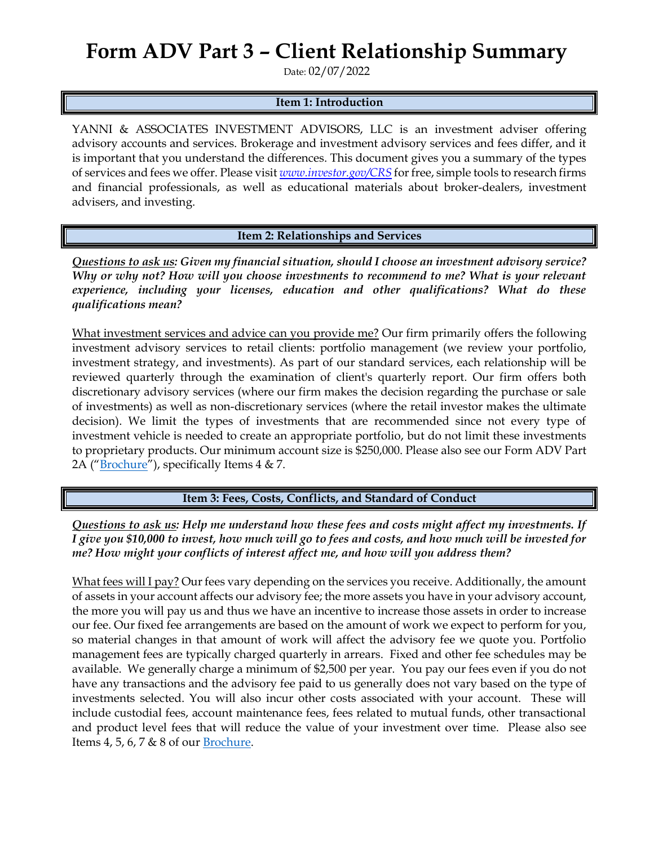## **Form ADV Part 3 – Client Relationship Summary**

Date: 02/07/2022

## **Item 1: Introduction**

YANNI & ASSOCIATES INVESTMENT ADVISORS, LLC is an investment adviser offering advisory accounts and services. Brokerage and investment advisory services and fees differ, and it is important that you understand the differences. This document gives you a summary of the types of services and fees we offer. Please visit *[www.investor.gov/CRS](http://www.investor.gov/CRS)* for free, simple tools to research firms and financial professionals, as well as educational materials about broker-dealers, investment advisers, and investing.

**Item 2: Relationships and Services**

*Questions to ask us: Given my financial situation, should I choose an investment advisory service? Why or why not? How will you choose investments to recommend to me? What is your relevant experience, including your licenses, education and other qualifications? What do these qualifications mean?*

What investment services and advice can you provide me? Our firm primarily offers the following investment advisory services to retail clients: portfolio management (we review your portfolio, investment strategy, and investments). As part of our standard services, each relationship will be reviewed quarterly through the examination of client's quarterly report. Our firm offers both discretionary advisory services (where our firm makes the decision regarding the purchase or sale of investments) as well as non-discretionary services (where the retail investor makes the ultimate decision). We limit the types of investments that are recommended since not every type of investment vehicle is needed to create an appropriate portfolio, but do not limit these investments to proprietary products. Our minimum account size is \$250,000. Please also see our Form ADV Part 2A ("[Brochure](https://adviserinfo.sec.gov/firm/summary/142913)"), specifically Items 4 & 7.

**Item 3: Fees, Costs, Conflicts, and Standard of Conduct** 

*Questions to ask us: Help me understand how these fees and costs might affect my investments. If I give you \$10,000 to invest, how much will go to fees and costs, and how much will be invested for me? How might your conflicts of interest affect me, and how will you address them?* 

What fees will I pay? Our fees vary depending on the services you receive. Additionally, the amount of assets in your account affects our advisory fee; the more assets you have in your advisory account, the more you will pay us and thus we have an incentive to increase those assets in order to increase our fee. Our fixed fee arrangements are based on the amount of work we expect to perform for you, so material changes in that amount of work will affect the advisory fee we quote you. Portfolio management fees are typically charged quarterly in arrears. Fixed and other fee schedules may be available. We generally charge a minimum of \$2,500 per year. You pay our fees even if you do not have any transactions and the advisory fee paid to us generally does not vary based on the type of investments selected. You will also incur other costs associated with your account. These will include custodial fees, account maintenance fees, fees related to mutual funds, other transactional and product level fees that will reduce the value of your investment over time. Please also see Items 4, 5, 6, 7 & 8 of our [Brochure.](https://adviserinfo.sec.gov/firm/summary/142913)